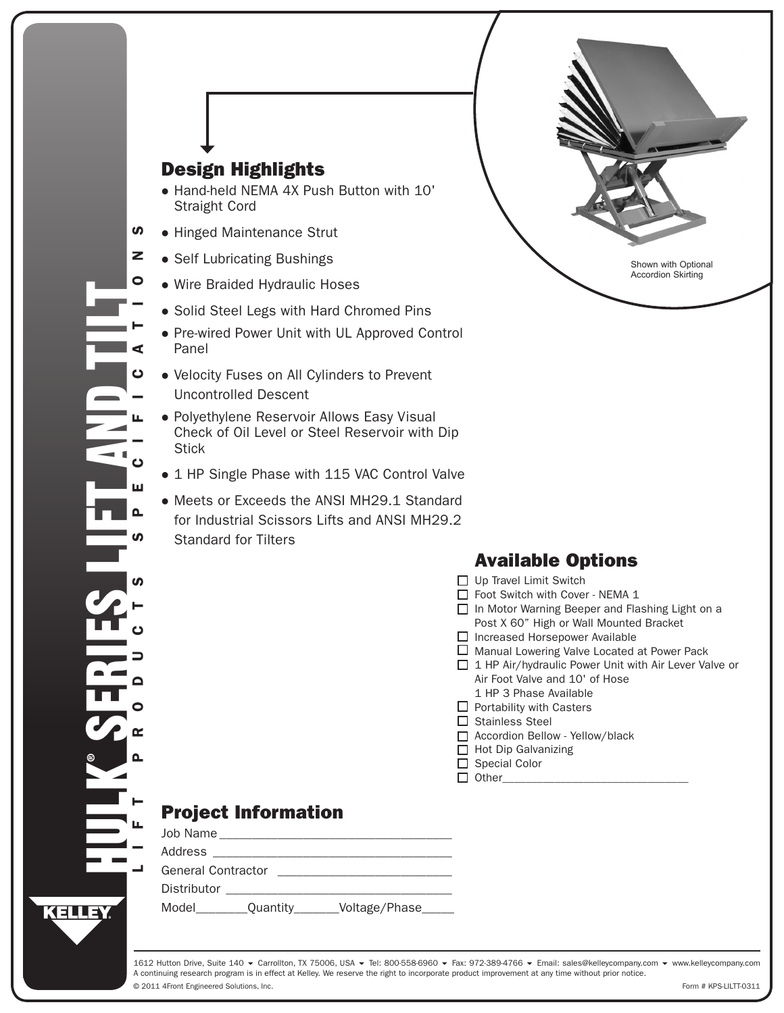| <b>Design Highlights</b><br>• Hand-held NEMA 4X Push Button with 10'<br><b>Straight Cord</b><br>ທ<br>• Hinged Maintenance Strut<br>z<br>• Self Lubricating Bushings<br>Shown with Optional<br><b>Accordion Skirting</b><br>O<br>• Wire Braided Hydraulic Hoses<br>• Solid Steel Legs with Hard Chromed Pins<br>• Pre-wired Power Unit with UL Approved Control<br>Panel<br>• Velocity Fuses on All Cylinders to Prevent<br>ပ<br><b>Uncontrolled Descent</b><br>• Polyethylene Reservoir Allows Easy Visual<br>Check of Oil Level or Steel Reservoir with Dip<br><b>Stick</b><br>• 1 HP Single Phase with 115 VAC Control Valve<br>ш<br>• Meets or Exceeds the ANSI MH29.1 Standard<br>for Industrial Scissors Lifts and ANSI MH29.2<br><b>Standard for Tilters</b><br><b>Available Options</b><br>$\Box$ Up Travel Limit Switch<br>Foot Switch with Cover - NEMA 1<br>□ In Motor Warning Beeper and Flashing Light on a<br>Post X 60" High or Wall Mounted Bracket<br>$\Box$ Increased Horsepower Available<br>$\Box$ Manual Lowering Valve Located at Power Pack<br>$\Box$ 1 HP Air/hydraulic Power Unit with Air Lever Valve or<br>Air Foot Valve and 10' of Hose<br>Q<br>1 HP 3 Phase Available<br>$\Box$ Portability with Casters<br>$\Box$ Stainless Steel<br>Accordion Bellow - Yellow/black<br>$\Box$ Hot Dip Galvanizing | <b>Project Information</b>                     |                 |  |
|----------------------------------------------------------------------------------------------------------------------------------------------------------------------------------------------------------------------------------------------------------------------------------------------------------------------------------------------------------------------------------------------------------------------------------------------------------------------------------------------------------------------------------------------------------------------------------------------------------------------------------------------------------------------------------------------------------------------------------------------------------------------------------------------------------------------------------------------------------------------------------------------------------------------------------------------------------------------------------------------------------------------------------------------------------------------------------------------------------------------------------------------------------------------------------------------------------------------------------------------------------------------------------------------------------------------------------|------------------------------------------------|-----------------|--|
|                                                                                                                                                                                                                                                                                                                                                                                                                                                                                                                                                                                                                                                                                                                                                                                                                                                                                                                                                                                                                                                                                                                                                                                                                                                                                                                                  |                                                |                 |  |
|                                                                                                                                                                                                                                                                                                                                                                                                                                                                                                                                                                                                                                                                                                                                                                                                                                                                                                                                                                                                                                                                                                                                                                                                                                                                                                                                  |                                                |                 |  |
|                                                                                                                                                                                                                                                                                                                                                                                                                                                                                                                                                                                                                                                                                                                                                                                                                                                                                                                                                                                                                                                                                                                                                                                                                                                                                                                                  |                                                |                 |  |
|                                                                                                                                                                                                                                                                                                                                                                                                                                                                                                                                                                                                                                                                                                                                                                                                                                                                                                                                                                                                                                                                                                                                                                                                                                                                                                                                  |                                                |                 |  |
|                                                                                                                                                                                                                                                                                                                                                                                                                                                                                                                                                                                                                                                                                                                                                                                                                                                                                                                                                                                                                                                                                                                                                                                                                                                                                                                                  |                                                |                 |  |
|                                                                                                                                                                                                                                                                                                                                                                                                                                                                                                                                                                                                                                                                                                                                                                                                                                                                                                                                                                                                                                                                                                                                                                                                                                                                                                                                  |                                                |                 |  |
|                                                                                                                                                                                                                                                                                                                                                                                                                                                                                                                                                                                                                                                                                                                                                                                                                                                                                                                                                                                                                                                                                                                                                                                                                                                                                                                                  |                                                |                 |  |
|                                                                                                                                                                                                                                                                                                                                                                                                                                                                                                                                                                                                                                                                                                                                                                                                                                                                                                                                                                                                                                                                                                                                                                                                                                                                                                                                  |                                                |                 |  |
|                                                                                                                                                                                                                                                                                                                                                                                                                                                                                                                                                                                                                                                                                                                                                                                                                                                                                                                                                                                                                                                                                                                                                                                                                                                                                                                                  |                                                |                 |  |
|                                                                                                                                                                                                                                                                                                                                                                                                                                                                                                                                                                                                                                                                                                                                                                                                                                                                                                                                                                                                                                                                                                                                                                                                                                                                                                                                  |                                                |                 |  |
|                                                                                                                                                                                                                                                                                                                                                                                                                                                                                                                                                                                                                                                                                                                                                                                                                                                                                                                                                                                                                                                                                                                                                                                                                                                                                                                                  |                                                |                 |  |
|                                                                                                                                                                                                                                                                                                                                                                                                                                                                                                                                                                                                                                                                                                                                                                                                                                                                                                                                                                                                                                                                                                                                                                                                                                                                                                                                  |                                                |                 |  |
|                                                                                                                                                                                                                                                                                                                                                                                                                                                                                                                                                                                                                                                                                                                                                                                                                                                                                                                                                                                                                                                                                                                                                                                                                                                                                                                                  |                                                |                 |  |
|                                                                                                                                                                                                                                                                                                                                                                                                                                                                                                                                                                                                                                                                                                                                                                                                                                                                                                                                                                                                                                                                                                                                                                                                                                                                                                                                  |                                                |                 |  |
|                                                                                                                                                                                                                                                                                                                                                                                                                                                                                                                                                                                                                                                                                                                                                                                                                                                                                                                                                                                                                                                                                                                                                                                                                                                                                                                                  |                                                |                 |  |
|                                                                                                                                                                                                                                                                                                                                                                                                                                                                                                                                                                                                                                                                                                                                                                                                                                                                                                                                                                                                                                                                                                                                                                                                                                                                                                                                  |                                                |                 |  |
|                                                                                                                                                                                                                                                                                                                                                                                                                                                                                                                                                                                                                                                                                                                                                                                                                                                                                                                                                                                                                                                                                                                                                                                                                                                                                                                                  |                                                |                 |  |
|                                                                                                                                                                                                                                                                                                                                                                                                                                                                                                                                                                                                                                                                                                                                                                                                                                                                                                                                                                                                                                                                                                                                                                                                                                                                                                                                  |                                                |                 |  |
|                                                                                                                                                                                                                                                                                                                                                                                                                                                                                                                                                                                                                                                                                                                                                                                                                                                                                                                                                                                                                                                                                                                                                                                                                                                                                                                                  |                                                |                 |  |
|                                                                                                                                                                                                                                                                                                                                                                                                                                                                                                                                                                                                                                                                                                                                                                                                                                                                                                                                                                                                                                                                                                                                                                                                                                                                                                                                  |                                                |                 |  |
|                                                                                                                                                                                                                                                                                                                                                                                                                                                                                                                                                                                                                                                                                                                                                                                                                                                                                                                                                                                                                                                                                                                                                                                                                                                                                                                                  |                                                |                 |  |
|                                                                                                                                                                                                                                                                                                                                                                                                                                                                                                                                                                                                                                                                                                                                                                                                                                                                                                                                                                                                                                                                                                                                                                                                                                                                                                                                  |                                                |                 |  |
|                                                                                                                                                                                                                                                                                                                                                                                                                                                                                                                                                                                                                                                                                                                                                                                                                                                                                                                                                                                                                                                                                                                                                                                                                                                                                                                                  |                                                |                 |  |
|                                                                                                                                                                                                                                                                                                                                                                                                                                                                                                                                                                                                                                                                                                                                                                                                                                                                                                                                                                                                                                                                                                                                                                                                                                                                                                                                  |                                                | □ Special Color |  |
|                                                                                                                                                                                                                                                                                                                                                                                                                                                                                                                                                                                                                                                                                                                                                                                                                                                                                                                                                                                                                                                                                                                                                                                                                                                                                                                                  |                                                |                 |  |
|                                                                                                                                                                                                                                                                                                                                                                                                                                                                                                                                                                                                                                                                                                                                                                                                                                                                                                                                                                                                                                                                                                                                                                                                                                                                                                                                  |                                                |                 |  |
|                                                                                                                                                                                                                                                                                                                                                                                                                                                                                                                                                                                                                                                                                                                                                                                                                                                                                                                                                                                                                                                                                                                                                                                                                                                                                                                                  |                                                |                 |  |
|                                                                                                                                                                                                                                                                                                                                                                                                                                                                                                                                                                                                                                                                                                                                                                                                                                                                                                                                                                                                                                                                                                                                                                                                                                                                                                                                  |                                                |                 |  |
|                                                                                                                                                                                                                                                                                                                                                                                                                                                                                                                                                                                                                                                                                                                                                                                                                                                                                                                                                                                                                                                                                                                                                                                                                                                                                                                                  | Model________Quantity_______Voltage/Phase_____ |                 |  |

© 2011 4Front Engineered Solutions, Inc.

Form # KPS-LILTT-0311